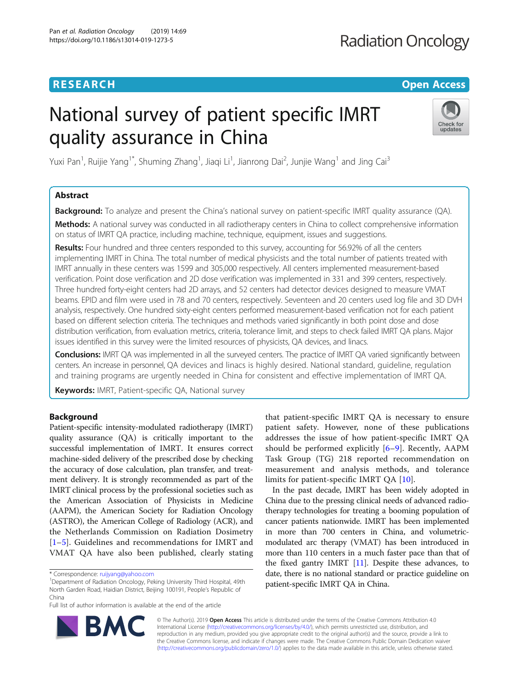## **RESEARCH CHE Open Access**

# National survey of patient specific IMRT quality assurance in China



Yuxi Pan<sup>1</sup>, Ruijie Yang<sup>1\*</sup>, Shuming Zhang<sup>1</sup>, Jiaqi Li<sup>1</sup>, Jianrong Dai<sup>2</sup>, Junjie Wang<sup>1</sup> and Jing Cai<sup>3</sup>

### Abstract

**Background:** To analyze and present the China's national survey on patient-specific IMRT quality assurance (QA). Methods: A national survey was conducted in all radiotherapy centers in China to collect comprehensive information on status of IMRT QA practice, including machine, technique, equipment, issues and suggestions.

Results: Four hundred and three centers responded to this survey, accounting for 56.92% of all the centers implementing IMRT in China. The total number of medical physicists and the total number of patients treated with IMRT annually in these centers was 1599 and 305,000 respectively. All centers implemented measurement-based verification. Point dose verification and 2D dose verification was implemented in 331 and 399 centers, respectively. Three hundred forty-eight centers had 2D arrays, and 52 centers had detector devices designed to measure VMAT beams. EPID and film were used in 78 and 70 centers, respectively. Seventeen and 20 centers used log file and 3D DVH analysis, respectively. One hundred sixty-eight centers performed measurement-based verification not for each patient based on different selection criteria. The techniques and methods varied significantly in both point dose and dose distribution verification, from evaluation metrics, criteria, tolerance limit, and steps to check failed IMRT QA plans. Major issues identified in this survey were the limited resources of physicists, QA devices, and linacs.

Conclusions: IMRT QA was implemented in all the surveyed centers. The practice of IMRT QA varied significantly between centers. An increase in personnel, QA devices and linacs is highly desired. National standard, guideline, regulation and training programs are urgently needed in China for consistent and effective implementation of IMRT QA.

Keywords: IMRT, Patient-specific QA, National survey

#### Background

Patient-specific intensity-modulated radiotherapy (IMRT) quality assurance (QA) is critically important to the successful implementation of IMRT. It ensures correct machine-sided delivery of the prescribed dose by checking the accuracy of dose calculation, plan transfer, and treatment delivery. It is strongly recommended as part of the IMRT clinical process by the professional societies such as the American Association of Physicists in Medicine (AAPM), the American Society for Radiation Oncology (ASTRO), the American College of Radiology (ACR), and the Netherlands Commission on Radiation Dosimetry [[1](#page-8-0)–[5\]](#page-8-0). Guidelines and recommendations for IMRT and VMAT QA have also been published, clearly stating

<sup>1</sup>Department of Radiation Oncology, Peking University Third Hospital, 49th North Garden Road, Haidian District, Beijing 100191, People's Republic of China

Full list of author information is available at the end of the article

that patient-specific IMRT QA is necessary to ensure patient safety. However, none of these publications addresses the issue of how patient-specific IMRT QA should be performed explicitly [[6](#page-8-0)–[9\]](#page-8-0). Recently, AAPM Task Group (TG) 218 reported recommendation on measurement and analysis methods, and tolerance limits for patient-specific IMRT QA [\[10](#page-8-0)].

In the past decade, IMRT has been widely adopted in China due to the pressing clinical needs of advanced radiotherapy technologies for treating a booming population of cancer patients nationwide. IMRT has been implemented in more than 700 centers in China, and volumetricmodulated arc therapy (VMAT) has been introduced in more than 110 centers in a much faster pace than that of the fixed gantry IMRT [\[11\]](#page-8-0). Despite these advances, to date, there is no national standard or practice guideline on patient-specific IMRT QA in China.



© The Author(s). 2019 **Open Access** This article is distributed under the terms of the Creative Commons Attribution 4.0 International License [\(http://creativecommons.org/licenses/by/4.0/](http://creativecommons.org/licenses/by/4.0/)), which permits unrestricted use, distribution, and reproduction in any medium, provided you give appropriate credit to the original author(s) and the source, provide a link to the Creative Commons license, and indicate if changes were made. The Creative Commons Public Domain Dedication waiver [\(http://creativecommons.org/publicdomain/zero/1.0/](http://creativecommons.org/publicdomain/zero/1.0/)) applies to the data made available in this article, unless otherwise stated.

<sup>\*</sup> Correspondence: [ruijyang@yahoo.com](mailto:ruijyang@yahoo.com) <sup>1</sup>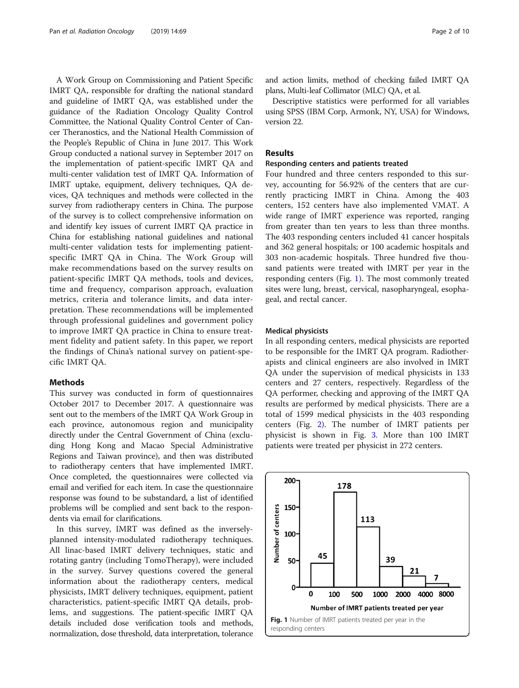A Work Group on Commissioning and Patient Specific IMRT QA, responsible for drafting the national standard and guideline of IMRT QA, was established under the guidance of the Radiation Oncology Quality Control Committee, the National Quality Control Center of Cancer Theranostics, and the National Health Commission of the People's Republic of China in June 2017. This Work Group conducted a national survey in September 2017 on the implementation of patient-specific IMRT QA and multi-center validation test of IMRT QA. Information of IMRT uptake, equipment, delivery techniques, QA devices, QA techniques and methods were collected in the survey from radiotherapy centers in China. The purpose of the survey is to collect comprehensive information on and identify key issues of current IMRT QA practice in China for establishing national guidelines and national multi-center validation tests for implementing patientspecific IMRT QA in China. The Work Group will make recommendations based on the survey results on patient-specific IMRT QA methods, tools and devices, time and frequency, comparison approach, evaluation metrics, criteria and tolerance limits, and data interpretation. These recommendations will be implemented through professional guidelines and government policy to improve IMRT QA practice in China to ensure treatment fidelity and patient safety. In this paper, we report the findings of China's national survey on patient-specific IMRT QA.

#### Methods

This survey was conducted in form of questionnaires October 2017 to December 2017. A questionnaire was sent out to the members of the IMRT QA Work Group in each province, autonomous region and municipality directly under the Central Government of China (excluding Hong Kong and Macao Special Administrative Regions and Taiwan province), and then was distributed to radiotherapy centers that have implemented IMRT. Once completed, the questionnaires were collected via email and verified for each item. In case the questionnaire response was found to be substandard, a list of identified problems will be complied and sent back to the respondents via email for clarifications.

In this survey, IMRT was defined as the inverselyplanned intensity-modulated radiotherapy techniques. All linac-based IMRT delivery techniques, static and rotating gantry (including TomoTherapy), were included in the survey. Survey questions covered the general information about the radiotherapy centers, medical physicists, IMRT delivery techniques, equipment, patient characteristics, patient-specific IMRT QA details, problems, and suggestions. The patient-specific IMRT QA details included dose verification tools and methods, normalization, dose threshold, data interpretation, tolerance

and action limits, method of checking failed IMRT QA plans, Multi-leaf Collimator (MLC) QA, et al.

Descriptive statistics were performed for all variables using SPSS (IBM Corp, Armonk, NY, USA) for Windows, version 22.

#### Results

#### Responding centers and patients treated

Four hundred and three centers responded to this survey, accounting for 56.92% of the centers that are currently practicing IMRT in China. Among the 403 centers, 152 centers have also implemented VMAT. A wide range of IMRT experience was reported, ranging from greater than ten years to less than three months. The 403 responding centers included 41 cancer hospitals and 362 general hospitals; or 100 academic hospitals and 303 non-academic hospitals. Three hundred five thousand patients were treated with IMRT per year in the responding centers (Fig. 1). The most commonly treated sites were lung, breast, cervical, nasopharyngeal, esophageal, and rectal cancer.

#### Medical physicists

In all responding centers, medical physicists are reported to be responsible for the IMRT QA program. Radiotherapists and clinical engineers are also involved in IMRT QA under the supervision of medical physicists in 133 centers and 27 centers, respectively. Regardless of the QA performer, checking and approving of the IMRT QA results are performed by medical physicists. There are a total of 1599 medical physicists in the 403 responding centers (Fig. [2](#page-2-0)). The number of IMRT patients per physicist is shown in Fig. [3](#page-2-0). More than 100 IMRT patients were treated per physicist in 272 centers.

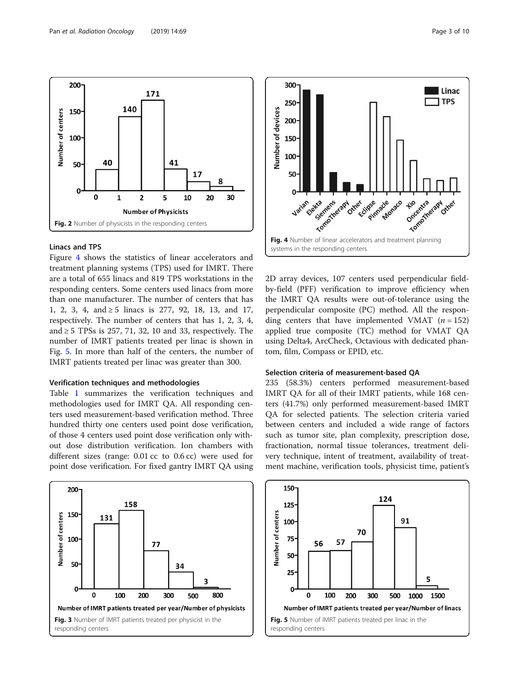Figure 4 shows the statistics of linear accelerators and

Linacs and TPS

<span id="page-2-0"></span> $200 -$ 

150

 $100<sub>1</sub>$ 

50

 $\Omega$ 

Number of centers

treatment planning systems (TPS) used for IMRT. There are a total of 655 linacs and 819 TPS workstations in the responding centers. Some centers used linacs from more than one manufacturer. The number of centers that has 1, 2, 3, 4, and ≥ 5 linacs is 277, 92, 18, 13, and 17, respectively. The number of centers that has 1, 2, 3, 4, and  $\geq$  5 TPSs is 257, 71, 32, 10 and 33, respectively. The number of IMRT patients treated per linac is shown in Fig. 5. In more than half of the centers, the number of IMRT patients treated per linac was greater than 300.

171

41

5

**Number of Physicists** 

17

10

g

30

20

#### Verification techniques and methodologies

Fig. 2 Number of physicists in the responding centers

 $\overline{2}$ 

 $\mathbf{1}$ 

140

40

 $\mathbf 0$ 

Table [1](#page-3-0) summarizes the verification techniques and methodologies used for IMRT QA. All responding centers used measurement-based verification method. Three hundred thirty one centers used point dose verification, of those 4 centers used point dose verification only without dose distribution verification. Ion chambers with different sizes (range: 0.01 cc to 0.6 cc) were used for point dose verification. For fixed gantry IMRT QA using





2D array devices, 107 centers used perpendicular fieldby-field (PFF) verification to improve efficiency when the IMRT QA results were out-of-tolerance using the perpendicular composite (PC) method. All the responding centers that have implemented VMAT  $(n = 152)$ applied true composite (TC) method for VMAT QA using Delta4, ArcCheck, Octavious with dedicated phantom, film, Compass or EPID, etc.

#### Selection criteria of measurement-based QA

235 (58.3%) centers performed measurement-based IMRT QA for all of their IMRT patients, while 168 centers (41.7%) only performed measurement-based IMRT QA for selected patients. The selection criteria varied between centers and included a wide range of factors such as tumor site, plan complexity, prescription dose, fractionation, normal tissue tolerances, treatment delivery technique, intent of treatment, availability of treatment machine, verification tools, physicist time, patient's

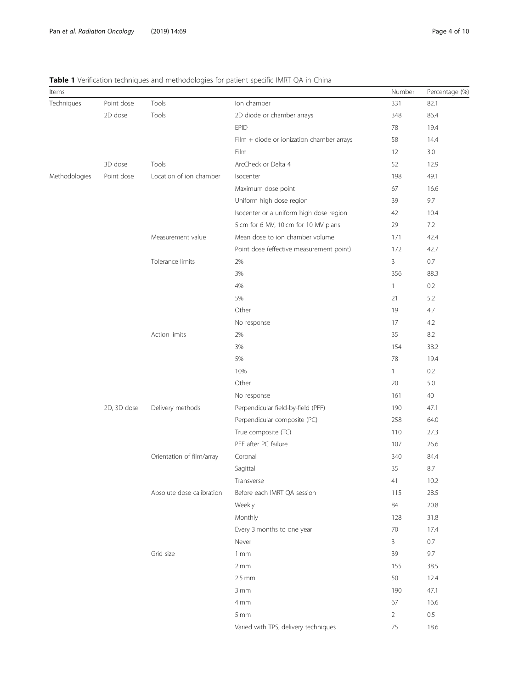#### <span id="page-3-0"></span>Table 1 Verification techniques and methodologies for patient specific IMRT QA in China

| Items         |             |                           |                                           | Number         | Percentage (%) |
|---------------|-------------|---------------------------|-------------------------------------------|----------------|----------------|
| Techniques    | Point dose  | Tools                     | Ion chamber                               | 331            | 82.1           |
|               | 2D dose     | Tools                     | 2D diode or chamber arrays                | 348            | 86.4           |
|               |             |                           | <b>EPID</b>                               | 78             | 19.4           |
|               |             |                           | Film + diode or ionization chamber arrays | 58             | 14.4           |
|               |             |                           | Film                                      | 12             | 3.0            |
|               | 3D dose     | Tools                     | ArcCheck or Delta 4                       | 52             | 12.9           |
| Methodologies | Point dose  | Location of ion chamber   | Isocenter                                 | 198            | 49.1           |
|               |             |                           | Maximum dose point                        | 67             | 16.6           |
|               |             |                           | Uniform high dose region                  | 39             | 9.7            |
|               |             |                           | Isocenter or a uniform high dose region   | 42             | 10.4           |
|               |             |                           | 5 cm for 6 MV, 10 cm for 10 MV plans      | 29             | 7.2            |
|               |             | Measurement value         | Mean dose to ion chamber volume           | 171            | 42.4           |
|               |             |                           | Point dose (effective measurement point)  | 172            | 42.7           |
|               |             | Tolerance limits          | 2%                                        | 3              | 0.7            |
|               |             |                           | 3%                                        | 356            | 88.3           |
|               |             |                           | 4%                                        | 1              | 0.2            |
|               |             |                           | 5%                                        | 21             | 5.2            |
|               |             |                           | Other                                     | 19             | 4.7            |
|               |             |                           | No response                               | 17             | 4.2            |
|               |             | Action limits             | 2%                                        | 35             | $8.2\,$        |
|               |             |                           | 3%                                        | 154            | 38.2           |
|               |             |                           | 5%                                        | 78             | 19.4           |
|               |             |                           | 10%                                       | 1              | 0.2            |
|               |             |                           | Other                                     | 20             | 5.0            |
|               |             |                           | No response                               | 161            | 40             |
|               | 2D, 3D dose | Delivery methods          | Perpendicular field-by-field (PFF)        | 190            | 47.1           |
|               |             |                           | Perpendicular composite (PC)              | 258            | 64.0           |
|               |             |                           | True composite (TC)                       | 110            | 27.3           |
|               |             |                           | PFF after PC failure                      | 107            | 26.6           |
|               |             | Orientation of film/array | Coronal                                   | 340            | 84.4           |
|               |             |                           | Sagittal                                  | 35             | 8.7            |
|               |             |                           | Transverse                                | 41             | 10.2           |
|               |             | Absolute dose calibration | Before each IMRT QA session               | 115            | 28.5           |
|               |             |                           | Weekly                                    | 84             | 20.8           |
|               |             |                           | Monthly                                   | 128            | 31.8           |
|               |             |                           | Every 3 months to one year                | $70\,$         | 17.4           |
|               |             |                           | Never                                     | 3              | 0.7            |
|               |             | Grid size                 | 1mm                                       | 39             | 9.7            |
|               |             |                           | 2mm                                       | 155            | 38.5           |
|               |             |                           | $2.5$ mm                                  | 50             | 12.4           |
|               |             |                           | 3 mm                                      | 190            | 47.1           |
|               |             |                           | 4 mm                                      | 67             | 16.6           |
|               |             |                           | 5 mm                                      | $\overline{2}$ | $0.5\,$        |
|               |             |                           | Varied with TPS, delivery techniques      | 75             | 18.6           |
|               |             |                           |                                           |                |                |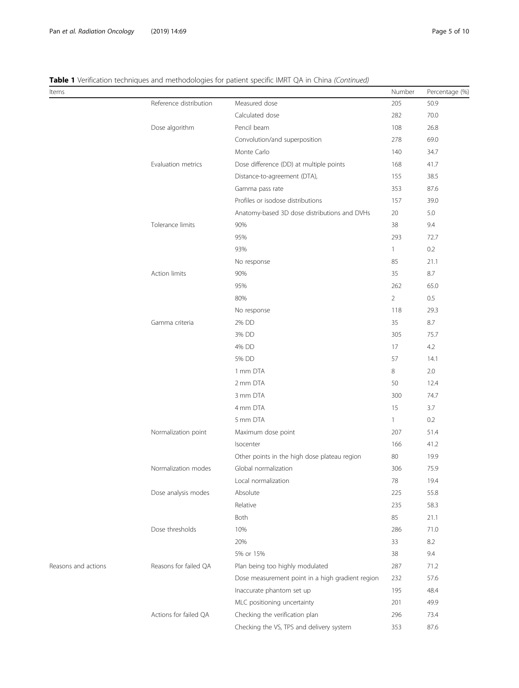| Items               |                        |                                                  | Number         | Percentage (%) |
|---------------------|------------------------|--------------------------------------------------|----------------|----------------|
|                     | Reference distribution | Measured dose                                    | 205            | 50.9           |
|                     |                        | Calculated dose                                  | 282            | 70.0           |
|                     | Dose algorithm         | Pencil beam                                      | 108            | 26.8           |
|                     |                        | Convolution/and superposition                    | 278            | 69.0           |
|                     |                        | Monte Carlo                                      | 140            | 34.7           |
|                     | Evaluation metrics     | Dose difference (DD) at multiple points          | 168            | 41.7           |
|                     |                        | Distance-to-agreement (DTA),                     | 155            | 38.5           |
|                     |                        | Gamma pass rate                                  | 353            | 87.6           |
|                     |                        | Profiles or isodose distributions                | 157            | 39.0           |
|                     |                        | Anatomy-based 3D dose distributions and DVHs     | 20             | 5.0            |
|                     | Tolerance limits       | 90%                                              | 38             | 9.4            |
|                     |                        | 95%                                              | 293            | 72.7           |
|                     |                        | 93%                                              | 1              | 0.2            |
|                     |                        | No response                                      | 85             | 21.1           |
|                     | <b>Action limits</b>   | 90%                                              | 35             | 8.7            |
|                     |                        | 95%                                              | 262            | 65.0           |
|                     |                        | 80%                                              | $\overline{2}$ | 0.5            |
|                     |                        | No response                                      | 118            | 29.3           |
|                     | Gamma criteria         | 2% DD                                            | 35             | 8.7            |
|                     |                        | 3% DD                                            | 305            | 75.7           |
|                     |                        | 4% DD                                            | 17             | 4.2            |
|                     |                        | 5% DD                                            | 57             | 14.1           |
|                     |                        | 1 mm DTA                                         | 8              | 2.0            |
|                     |                        | 2 mm DTA                                         | 50             | 12.4           |
|                     |                        | 3 mm DTA                                         | 300            | 74.7           |
|                     |                        | 4 mm DTA                                         | 15             | 3.7            |
|                     |                        | 5 mm DTA                                         | $\mathbf{1}$   | 0.2            |
|                     | Normalization point    | Maximum dose point                               | 207            | 51.4           |
|                     |                        | Isocenter                                        | 166            | 41.2           |
|                     |                        | Other points in the high dose plateau region     | 80             | 19.9           |
|                     | Normalization modes    | Global normalization                             | 306            | 75.9           |
|                     |                        | Local normalization                              | $78\,$         | 19.4           |
|                     | Dose analysis modes    | Absolute                                         | 225            | 55.8           |
|                     |                        | Relative                                         | 235            | 58.3           |
|                     |                        | Both                                             | 85             | 21.1           |
|                     | Dose thresholds        | 10%                                              | 286            | 71.0           |
|                     |                        | 20%                                              | 33             | 8.2            |
|                     |                        | 5% or 15%                                        | 38             | 9.4            |
| Reasons and actions | Reasons for failed QA  | Plan being too highly modulated                  | 287            | 71.2           |
|                     |                        | Dose measurement point in a high gradient region | 232            | 57.6           |
|                     |                        | Inaccurate phantom set up                        | 195            | 48.4           |
|                     |                        | MLC positioning uncertainty                      | 201            | 49.9           |
|                     | Actions for failed QA  | Checking the verification plan                   | 296            | 73.4           |
|                     |                        | Checking the VS, TPS and delivery system         | 353            | 87.6           |

|  |  | Table 1 Verification techniques and methodologies for patient specific IMRT QA in China (Continued) |  |  |  |  |
|--|--|-----------------------------------------------------------------------------------------------------|--|--|--|--|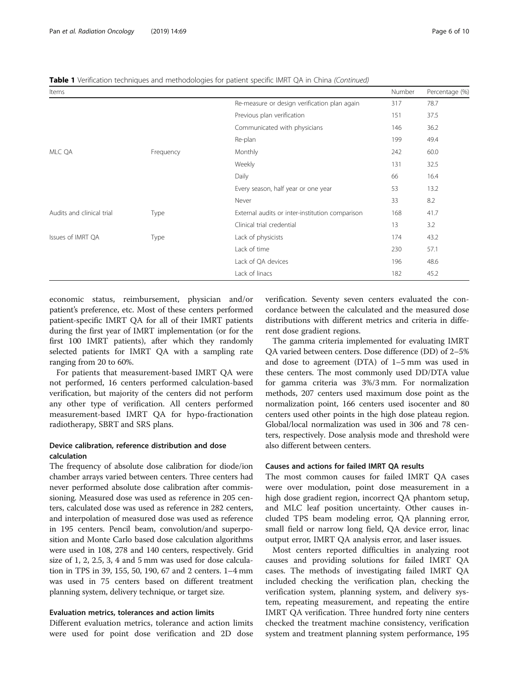| Items                     |           |                                                 | Number | Percentage (%) |
|---------------------------|-----------|-------------------------------------------------|--------|----------------|
|                           |           | Re-measure or design verification plan again    | 317    | 78.7           |
|                           |           | Previous plan verification                      | 151    | 37.5           |
|                           |           | Communicated with physicians                    | 146    | 36.2           |
|                           |           | Re-plan                                         | 199    | 49.4           |
| MLC QA                    | Frequency | Monthly                                         | 242    | 60.0           |
|                           |           | Weekly                                          | 131    | 32.5           |
|                           |           | Daily                                           | 66     | 16.4           |
|                           |           | Every season, half year or one year             | 53     | 13.2           |
|                           |           | Never                                           | 33     | 8.2            |
| Audits and clinical trial | Type      | External audits or inter-institution comparison | 168    | 41.7           |
|                           |           | Clinical trial credential                       | 13     | 3.2            |
| Issues of IMRT QA         | Type      | Lack of physicists                              | 174    | 43.2           |
|                           |           | Lack of time                                    | 230    | 57.1           |
|                           |           | Lack of QA devices                              | 196    | 48.6           |
|                           |           | Lack of linacs                                  | 182    | 45.2           |

**Table 1** Verification techniques and methodologies for patient specific IMRT QA in China (Continued)

economic status, reimbursement, physician and/or patient's preference, etc. Most of these centers performed patient-specific IMRT QA for all of their IMRT patients during the first year of IMRT implementation (or for the first 100 IMRT patients), after which they randomly selected patients for IMRT QA with a sampling rate ranging from 20 to 60%.

For patients that measurement-based IMRT QA were not performed, 16 centers performed calculation-based verification, but majority of the centers did not perform any other type of verification. All centers performed measurement-based IMRT QA for hypo-fractionation radiotherapy, SBRT and SRS plans.

#### Device calibration, reference distribution and dose calculation

The frequency of absolute dose calibration for diode/ion chamber arrays varied between centers. Three centers had never performed absolute dose calibration after commissioning. Measured dose was used as reference in 205 centers, calculated dose was used as reference in 282 centers, and interpolation of measured dose was used as reference in 195 centers. Pencil beam, convolution/and superposition and Monte Carlo based dose calculation algorithms were used in 108, 278 and 140 centers, respectively. Grid size of 1, 2, 2.5, 3, 4 and 5 mm was used for dose calculation in TPS in 39, 155, 50, 190, 67 and 2 centers. 1–4 mm was used in 75 centers based on different treatment planning system, delivery technique, or target size.

#### Evaluation metrics, tolerances and action limits

Different evaluation metrics, tolerance and action limits were used for point dose verification and 2D dose verification. Seventy seven centers evaluated the concordance between the calculated and the measured dose distributions with different metrics and criteria in different dose gradient regions.

The gamma criteria implemented for evaluating IMRT QA varied between centers. Dose difference (DD) of 2–5% and dose to agreement (DTA) of 1–5 mm was used in these centers. The most commonly used DD/DTA value for gamma criteria was 3%/3 mm. For normalization methods, 207 centers used maximum dose point as the normalization point, 166 centers used isocenter and 80 centers used other points in the high dose plateau region. Global/local normalization was used in 306 and 78 centers, respectively. Dose analysis mode and threshold were also different between centers.

#### Causes and actions for failed IMRT QA results

The most common causes for failed IMRT QA cases were over modulation, point dose measurement in a high dose gradient region, incorrect QA phantom setup, and MLC leaf position uncertainty. Other causes included TPS beam modeling error, QA planning error, small field or narrow long field, QA device error, linac output error, IMRT QA analysis error, and laser issues.

Most centers reported difficulties in analyzing root causes and providing solutions for failed IMRT QA cases. The methods of investigating failed IMRT QA included checking the verification plan, checking the verification system, planning system, and delivery system, repeating measurement, and repeating the entire IMRT QA verification. Three hundred forty nine centers checked the treatment machine consistency, verification system and treatment planning system performance, 195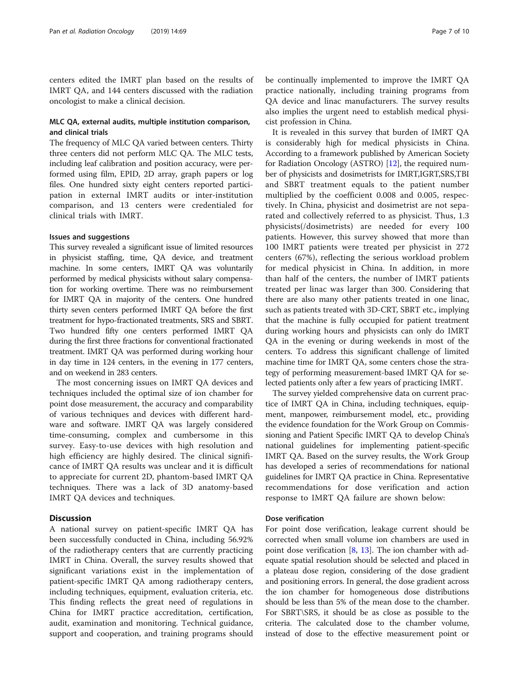centers edited the IMRT plan based on the results of IMRT QA, and 144 centers discussed with the radiation oncologist to make a clinical decision.

#### MLC QA, external audits, multiple institution comparison, and clinical trials

The frequency of MLC QA varied between centers. Thirty three centers did not perform MLC QA. The MLC tests, including leaf calibration and position accuracy, were performed using film, EPID, 2D array, graph papers or log files. One hundred sixty eight centers reported participation in external IMRT audits or inter-institution comparison, and 13 centers were credentialed for clinical trials with IMRT.

#### Issues and suggestions

This survey revealed a significant issue of limited resources in physicist staffing, time, QA device, and treatment machine. In some centers, IMRT QA was voluntarily performed by medical physicists without salary compensation for working overtime. There was no reimbursement for IMRT QA in majority of the centers. One hundred thirty seven centers performed IMRT QA before the first treatment for hypo-fractionated treatments, SRS and SBRT. Two hundred fifty one centers performed IMRT QA during the first three fractions for conventional fractionated treatment. IMRT QA was performed during working hour in day time in 124 centers, in the evening in 177 centers, and on weekend in 283 centers.

The most concerning issues on IMRT QA devices and techniques included the optimal size of ion chamber for point dose measurement, the accuracy and comparability of various techniques and devices with different hardware and software. IMRT QA was largely considered time-consuming, complex and cumbersome in this survey. Easy-to-use devices with high resolution and high efficiency are highly desired. The clinical significance of IMRT QA results was unclear and it is difficult to appreciate for current 2D, phantom-based IMRT QA techniques. There was a lack of 3D anatomy-based IMRT QA devices and techniques.

#### **Discussion**

A national survey on patient-specific IMRT QA has been successfully conducted in China, including 56.92% of the radiotherapy centers that are currently practicing IMRT in China. Overall, the survey results showed that significant variations exist in the implementation of patient-specific IMRT QA among radiotherapy centers, including techniques, equipment, evaluation criteria, etc. This finding reflects the great need of regulations in China for IMRT practice accreditation, certification, audit, examination and monitoring. Technical guidance, support and cooperation, and training programs should

be continually implemented to improve the IMRT QA practice nationally, including training programs from QA device and linac manufacturers. The survey results also implies the urgent need to establish medical physicist profession in China.

It is revealed in this survey that burden of IMRT QA is considerably high for medical physicists in China. According to a framework published by American Society for Radiation Oncology (ASTRO) [\[12\]](#page-8-0), the required number of physicists and dosimetrists for IMRT,IGRT,SRS,TBI and SBRT treatment equals to the patient number multiplied by the coefficient 0.008 and 0.005, respectively. In China, physicist and dosimetrist are not separated and collectively referred to as physicist. Thus, 1.3 physicists(/dosimetrists) are needed for every 100 patients. However, this survey showed that more than 100 IMRT patients were treated per physicist in 272 centers (67%), reflecting the serious workload problem for medical physicist in China. In addition, in more than half of the centers, the number of IMRT patients treated per linac was larger than 300. Considering that there are also many other patients treated in one linac, such as patients treated with 3D-CRT, SBRT etc., implying that the machine is fully occupied for patient treatment during working hours and physicists can only do IMRT QA in the evening or during weekends in most of the centers. To address this significant challenge of limited machine time for IMRT QA, some centers chose the strategy of performing measurement-based IMRT QA for selected patients only after a few years of practicing IMRT.

The survey yielded comprehensive data on current practice of IMRT QA in China, including techniques, equipment, manpower, reimbursement model, etc., providing the evidence foundation for the Work Group on Commissioning and Patient Specific IMRT QA to develop China's national guidelines for implementing patient-specific IMRT QA. Based on the survey results, the Work Group has developed a series of recommendations for national guidelines for IMRT QA practice in China. Representative recommendations for dose verification and action response to IMRT QA failure are shown below:

#### Dose verification

For point dose verification, leakage current should be corrected when small volume ion chambers are used in point dose verification [[8](#page-8-0), [13\]](#page-8-0). The ion chamber with adequate spatial resolution should be selected and placed in a plateau dose region, considering of the dose gradient and positioning errors. In general, the dose gradient across the ion chamber for homogeneous dose distributions should be less than 5% of the mean dose to the chamber. For SBRT\SRS, it should be as close as possible to the criteria. The calculated dose to the chamber volume, instead of dose to the effective measurement point or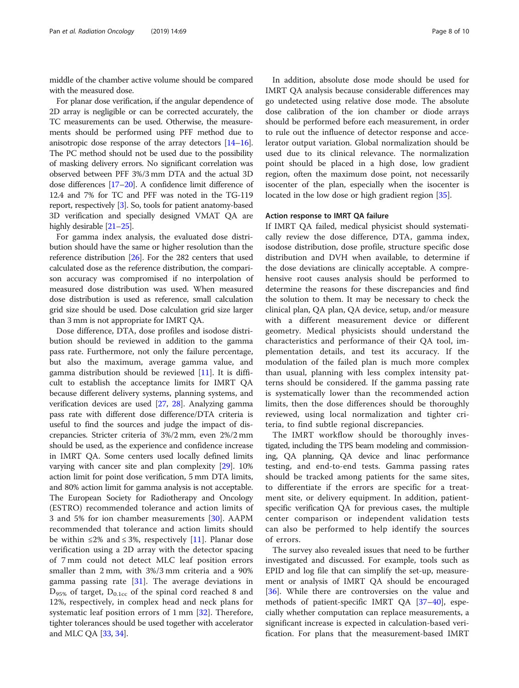middle of the chamber active volume should be compared with the measured dose.

For planar dose verification, if the angular dependence of 2D array is negligible or can be corrected accurately, the TC measurements can be used. Otherwise, the measurements should be performed using PFF method due to anisotropic dose response of the array detectors [[14](#page-8-0)–[16](#page-8-0)]. The PC method should not be used due to the possibility of masking delivery errors. No significant correlation was observed between PFF 3%/3 mm DTA and the actual 3D dose differences [[17](#page-8-0)–[20](#page-9-0)]. A confidence limit difference of 12.4 and 7% for TC and PFF was noted in the TG-119 report, respectively [[3](#page-8-0)]. So, tools for patient anatomy-based 3D verification and specially designed VMAT QA are highly desirable [[21](#page-9-0)–[25\]](#page-9-0).

For gamma index analysis, the evaluated dose distribution should have the same or higher resolution than the reference distribution [\[26](#page-9-0)]. For the 282 centers that used calculated dose as the reference distribution, the comparison accuracy was compromised if no interpolation of measured dose distribution was used. When measured dose distribution is used as reference, small calculation grid size should be used. Dose calculation grid size larger than 3 mm is not appropriate for IMRT QA.

Dose difference, DTA, dose profiles and isodose distribution should be reviewed in addition to the gamma pass rate. Furthermore, not only the failure percentage, but also the maximum, average gamma value, and gamma distribution should be reviewed [[11\]](#page-8-0). It is difficult to establish the acceptance limits for IMRT QA because different delivery systems, planning systems, and verification devices are used [\[27,](#page-9-0) [28](#page-9-0)]. Analyzing gamma pass rate with different dose difference/DTA criteria is useful to find the sources and judge the impact of discrepancies. Stricter criteria of 3%/2 mm, even 2%/2 mm should be used, as the experience and confidence increase in IMRT QA. Some centers used locally defined limits varying with cancer site and plan complexity [[29](#page-9-0)]. 10% action limit for point dose verification, 5 mm DTA limits, and 80% action limit for gamma analysis is not acceptable. The European Society for Radiotherapy and Oncology (ESTRO) recommended tolerance and action limits of 3 and 5% for ion chamber measurements [\[30](#page-9-0)]. AAPM recommended that tolerance and action limits should be within  $\leq 2\%$  and  $\leq 3\%$ , respectively [[11\]](#page-8-0). Planar dose verification using a 2D array with the detector spacing of 7 mm could not detect MLC leaf position errors smaller than 2 mm, with 3%/3 mm criteria and a 90% gamma passing rate [\[31](#page-9-0)]. The average deviations in  $D_{95\%}$  of target,  $D_{0.1cc}$  of the spinal cord reached 8 and 12%, respectively, in complex head and neck plans for systematic leaf position errors of 1 mm [\[32](#page-9-0)]. Therefore, tighter tolerances should be used together with accelerator and MLC QA [\[33,](#page-9-0) [34\]](#page-9-0).

In addition, absolute dose mode should be used for IMRT QA analysis because considerable differences may go undetected using relative dose mode. The absolute dose calibration of the ion chamber or diode arrays should be performed before each measurement, in order to rule out the influence of detector response and accelerator output variation. Global normalization should be used due to its clinical relevance. The normalization point should be placed in a high dose, low gradient region, often the maximum dose point, not necessarily isocenter of the plan, especially when the isocenter is located in the low dose or high gradient region [[35](#page-9-0)].

#### Action response to IMRT QA failure

If IMRT QA failed, medical physicist should systematically review the dose difference, DTA, gamma index, isodose distribution, dose profile, structure specific dose distribution and DVH when available, to determine if the dose deviations are clinically acceptable. A comprehensive root causes analysis should be performed to determine the reasons for these discrepancies and find the solution to them. It may be necessary to check the clinical plan, QA plan, QA device, setup, and/or measure with a different measurement device or different geometry. Medical physicists should understand the characteristics and performance of their QA tool, implementation details, and test its accuracy. If the modulation of the failed plan is much more complex than usual, planning with less complex intensity patterns should be considered. If the gamma passing rate is systematically lower than the recommended action limits, then the dose differences should be thoroughly reviewed, using local normalization and tighter criteria, to find subtle regional discrepancies.

The IMRT workflow should be thoroughly investigated, including the TPS beam modeling and commissioning, QA planning, QA device and linac performance testing, and end-to-end tests. Gamma passing rates should be tracked among patients for the same sites, to differentiate if the errors are specific for a treatment site, or delivery equipment. In addition, patientspecific verification QA for previous cases, the multiple center comparison or independent validation tests can also be performed to help identify the sources of errors.

The survey also revealed issues that need to be further investigated and discussed. For example, tools such as EPID and log file that can simplify the set-up, measurement or analysis of IMRT QA should be encouraged [[36\]](#page-9-0). While there are controversies on the value and methods of patient-specific IMRT QA [[37](#page-9-0)–[40](#page-9-0)], especially whether computation can replace measurements, a significant increase is expected in calculation-based verification. For plans that the measurement-based IMRT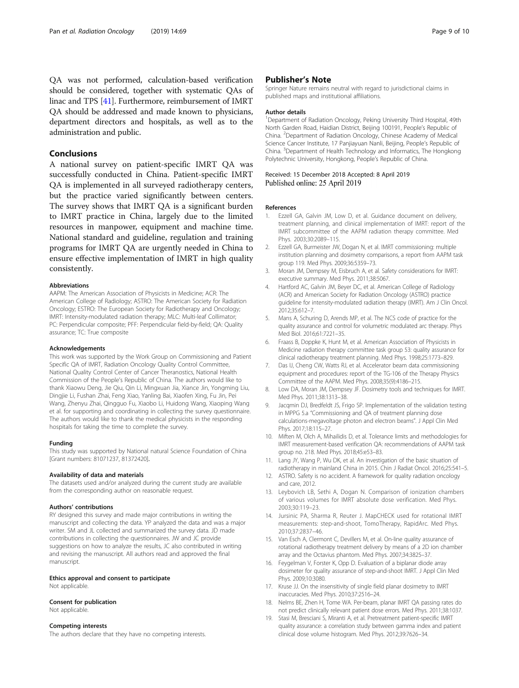<span id="page-8-0"></span>QA was not performed, calculation-based verification should be considered, together with systematic QAs of linac and TPS [\[41](#page-9-0)]. Furthermore, reimbursement of IMRT QA should be addressed and made known to physicians, department directors and hospitals, as well as to the administration and public.

#### Conclusions

A national survey on patient-specific IMRT QA was successfully conducted in China. Patient-specific IMRT QA is implemented in all surveyed radiotherapy centers, but the practice varied significantly between centers. The survey shows that IMRT QA is a significant burden to IMRT practice in China, largely due to the limited resources in manpower, equipment and machine time. National standard and guideline, regulation and training programs for IMRT QA are urgently needed in China to ensure effective implementation of IMRT in high quality consistently.

#### Abbreviations

AAPM: The American Association of Physicists in Medicine; ACR: The American College of Radiology; ASTRO: The American Society for Radiation Oncology; ESTRO: The European Society for Radiotherapy and Oncology; IMRT: Intensity-modulated radiation therapy; MLC: Multi-leaf Collimator; PC: Perpendicular composite; PFF: Perpendicular field-by-field; QA: Quality assurance; TC: True composite

#### Acknowledgements

This work was supported by the Work Group on Commissioning and Patient Specific QA of IMRT, Radiation Oncology Quality Control Committee, National Quality Control Center of Cancer Theranostics, National Health Commission of the People's Republic of China. The authors would like to thank Xiaowu Deng, Jie Qiu, Qin Li, Mingxuan Jia, Xiance Jin, Yongming Liu, Dingjie Li, Fushan Zhai, Feng Xiao, Yanling Bai, Xiaofen Xing, Fu Jin, Pei Wang, Zhenyu Zhai, Qingguo Fu, Xiaobo Li, Huidong Wang, Xiaoping Wang et al. for supporting and coordinating in collecting the survey questionnaire. The authors would like to thank the medical physicists in the responding hospitals for taking the time to complete the survey.

#### Funding

This study was supported by National natural Science Foundation of China [Grant numbers: 81071237, 81372420].

#### Availability of data and materials

The datasets used and/or analyzed during the current study are available from the corresponding author on reasonable request.

#### Authors' contributions

RY designed this survey and made major contributions in writing the manuscript and collecting the data. YP analyzed the data and was a major writer. SM and JL collected and summarized the survey data. JD made contributions in collecting the questionnaires. JW and JC provide suggestions on how to analyze the results, JC also contributed in writing and revising the manuscript. All authors read and approved the final manuscript.

#### Ethics approval and consent to participate Not applicable.

#### Consent for publication

Not applicable.

#### Competing interests

The authors declare that they have no competing interests.

#### Publisher's Note

Springer Nature remains neutral with regard to jurisdictional claims in published maps and institutional affiliations.

#### Author details

<sup>1</sup>Department of Radiation Oncology, Peking University Third Hospital, 49th North Garden Road, Haidian District, Beijing 100191, People's Republic of China. <sup>2</sup> Department of Radiation Oncology, Chinese Academy of Medical Science Cancer Institute, 17 Panjiayuan Nanli, Beijing, People's Republic of China. <sup>3</sup> Department of Health Technology and Informatics, The Hongkong Polytechnic University, Hongkong, People's Republic of China.

#### Received: 15 December 2018 Accepted: 8 April 2019 Published online: 25 April 2019

#### References

- 1. Ezzell GA, Galvin JM, Low D, et al. Guidance document on delivery, treatment planning, and clinical implementation of IMRT: report of the IMRT subcommittee of the AAPM radiation therapy committee. Med Phys. 2003;30:2089–115.
- 2. Ezzell GA, Burmeister JW, Dogan N, et al. IMRT commissioning: multiple institution planning and dosimetry comparisons, a report from AAPM task group 119. Med Phys. 2009;36:5359–73.
- 3. Moran JM, Dempsey M, Eisbruch A, et al. Safety considerations for IMRT: executive summary. Med Phys. 2011;38:5067.
- 4. Hartford AC, Galvin JM, Beyer DC, et al. American College of Radiology (ACR) and American Society for Radiation Oncology (ASTRO) practice guideline for intensity-modulated radiation therapy (IMRT). Am J Clin Oncol. 2012;35:612–7.
- 5. Mans A, Schuring D, Arends MP, et al. The NCS code of practice for the quality assurance and control for volumetric modulated arc therapy. Phys Med Biol. 2016;61:7221–35.
- 6. Fraass B, Doppke K, Hunt M, et al. American Association of Physicists in Medicine radiation therapy committee task group 53: quality assurance for clinical radiotherapy treatment planning. Med Phys. 1998;25:1773–829.
- 7. Das IJ, Cheng CW, Watts RJ, et al. Accelerator beam data commissioning equipment and procedures: report of the TG-106 of the Therapy Physics Committee of the AAPM. Med Phys. 2008;35(9):4186–215.
- 8. Low DA, Moran JM, Dempsey JF. Dosimetry tools and techniques for IMRT. Med Phys. 2011;38:1313–38.
- 9. Jacqmin DJ, Bredfeldt JS, Frigo SP. Implementation of the validation testing in MPPG 5.a "Commissioning and QA of treatment planning dose calculations-megavoltage photon and electron beams". J Appl Clin Med Phys. 2017;18:115–27.
- 10. Miften M, Olch A, Mihailidis D, et al. Tolerance limits and methodologies for IMRT measurement-based verification QA: recommendations of AAPM task group no. 218. Med Phys. 2018;45:e53–83.
- 11. Lang JY, Wang P, Wu DK, et al. An investigation of the basic situation of radiotherapy in mainland China in 2015. Chin J Radiat Oncol. 2016;25:541–5.
- 12. ASTRO. Safety is no accident. A framework for quality radiation oncology and care, 2012.
- 13. Leybovich LB, Sethi A, Dogan N. Comparison of ionization chambers of various volumes for IMRT absolute dose verification. Med Phys. 2003;30:119–23.
- 14. Jursinic PA, Sharma R, Reuter J. MapCHECK used for rotational IMRT measurements: step-and-shoot, TomoTherapy, RapidArc. Med Phys. 2010;37:2837–46.
- 15. Van Esch A, Clermont C, Devillers M, et al. On-line quality assurance of rotational radiotherapy treatment delivery by means of a 2D ion chamber array and the Octavius phantom. Med Phys. 2007;34:3825–37.
- 16. Feygelman V, Forster K, Opp D. Evaluation of a biplanar diode array dosimeter for quality assurance of step-and-shoot IMRT. J Appl Clin Med Phys. 2009;10:3080.
- 17. Kruse JJ. On the insensitivity of single field planar dosimetry to IMRT inaccuracies. Med Phys. 2010;37:2516–24.
- 18. Nelms BE, Zhen H, Tome WA. Per-beam, planar IMRT QA passing rates do not predict clinically relevant patient dose errors. Med Phys. 2011;38:1037.
- 19. Stasi M, Bresciani S, Miranti A, et al. Pretreatment patient-specific IMRT quality assurance: a correlation study between gamma index and patient clinical dose volume histogram. Med Phys. 2012;39:7626–34.